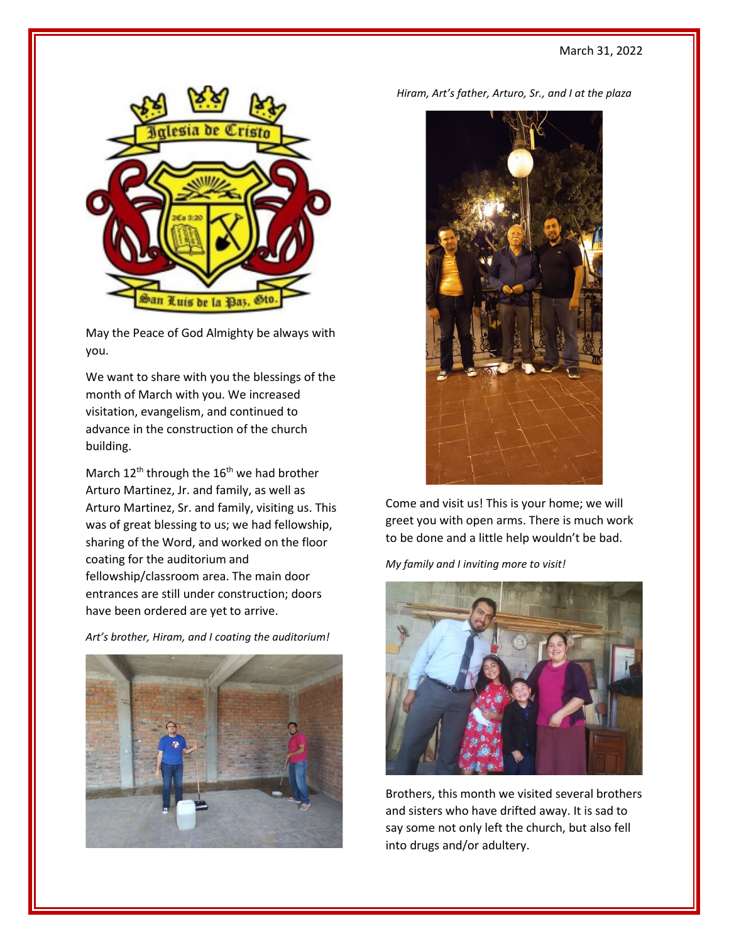

May the Peace of God Almighty be always with you.

We want to share with you the blessings of the month of March with you. We increased visitation, evangelism, and continued to advance in the construction of the church building.

March  $12^{th}$  through the  $16^{th}$  we had brother Arturo Martinez, Jr. and family, as well as Arturo Martinez, Sr. and family, visiting us. This was of great blessing to us; we had fellowship, sharing of the Word, and worked on the floor coating for the auditorium and fellowship/classroom area. The main door entrances are still under construction; doors have been ordered are yet to arrive.

*Art's brother, Hiram, and I coating the auditorium!*





Come and visit us! This is your home; we will greet you with open arms. There is much work to be done and a little help wouldn't be bad.

*My family and I inviting more to visit!*



Brothers, this month we visited several brothers and sisters who have drifted away. It is sad to say some not only left the church, but also fell into drugs and/or adultery.